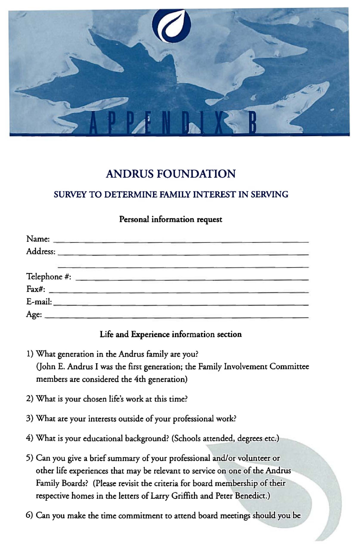

# **ANDRUS FOUNDATION**

### SURVEY TO DETERMINE FAMILY INTEREST IN SERVING

#### Personal information request

| Name: _______________________ |  |  |
|-------------------------------|--|--|
|                               |  |  |
|                               |  |  |
|                               |  |  |
|                               |  |  |
|                               |  |  |

#### Life and Experience information section

- 1) What generation in the Andrus family are you? (john E. Andrus I was the first generation; the Family Involvement Committee members are considered the 4th generation)
- 2) What is your chosen life's work at this time?
- 3) What are your interests outside of your professional work?
- 4) What is your educational background? (Schools attended, degrees etc.)
- 5) Can you give a brief summary of your professional and/or volunteer or other life experiences that may be relevant to service on one of the Andrus Family Boards? (Please revisit the criteria for board membership of their respective homes in the letters of Larry Griffith and Peter Benedict.)
- 6) Can you make the time commitment to attend board meetings should you be